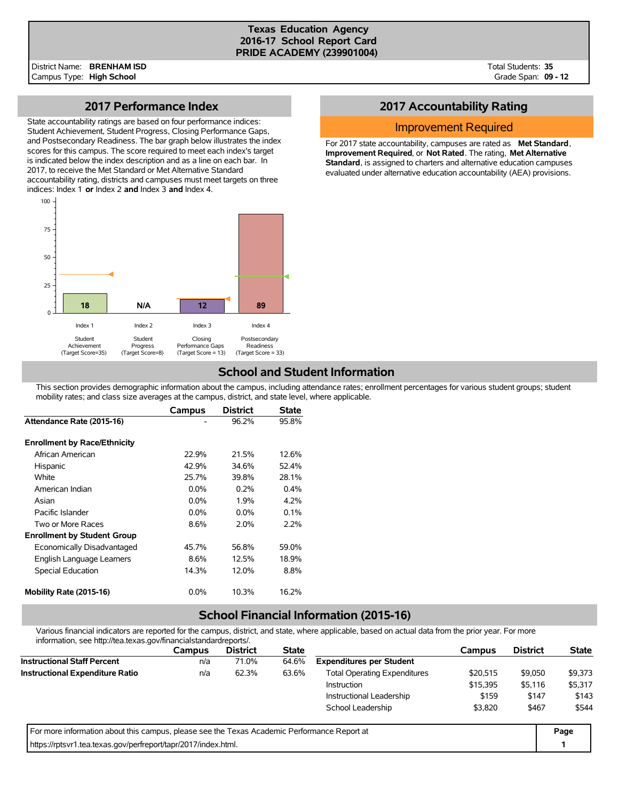#### **Texas Education Agency 2016-17 School Report Card PRIDE ACADEMY (239901004)**

Total Students: **35** Grade Span: **09 - 12**

### **2017 Performance Index**

State accountability ratings are based on four performance indices: Student Achievement, Student Progress, Closing Performance Gaps, and Postsecondary Readiness. The bar graph below illustrates the index scores for this campus. The score required to meet each index's target is indicated below the index description and as a line on each bar. In 2017, to receive the Met Standard or Met Alternative Standard accountability rating, districts and campuses must meet targets on three indices: Index 1 **or** Index 2 **and** Index 3 **and** Index 4.



## **2017 Accountability Rating**

### Improvement Required

For 2017 state accountability, campuses are rated as **Met Standard**, **Improvement Required**, or **Not Rated**. The rating, **Met Alternative Standard**, is assigned to charters and alternative education campuses evaluated under alternative education accountability (AEA) provisions.

## **School and Student Information**

This section provides demographic information about the campus, including attendance rates; enrollment percentages for various student groups; student mobility rates; and class size averages at the campus, district, and state level, where applicable.

|                                     | Campus  | <b>District</b> | <b>State</b> |
|-------------------------------------|---------|-----------------|--------------|
| Attendance Rate (2015-16)           |         | 96.2%           | 95.8%        |
| <b>Enrollment by Race/Ethnicity</b> |         |                 |              |
| African American                    | 22.9%   | 21.5%           | 12.6%        |
| Hispanic                            | 42.9%   | 34.6%           | 52.4%        |
| White                               | 25.7%   | 39.8%           | 28.1%        |
| American Indian                     | 0.0%    | 0.2%            | 0.4%         |
| Asian                               | $0.0\%$ | 1.9%            | 4.2%         |
| Pacific Islander                    | $0.0\%$ | $0.0\%$         | 0.1%         |
| Two or More Races                   | 8.6%    | $2.0\%$         | 2.2%         |
| <b>Enrollment by Student Group</b>  |         |                 |              |
| Economically Disadvantaged          | 45.7%   | 56.8%           | 59.0%        |
| English Language Learners           | 8.6%    | 12.5%           | 18.9%        |
| <b>Special Education</b>            | 14.3%   | 12.0%           | 8.8%         |
| Mobility Rate (2015-16)             | $0.0\%$ | 10.3%           | 16.2%        |

# **School Financial Information (2015-16)**

Various financial indicators are reported for the campus, district, and state, where applicable, based on actual data from the prior year. For more information, see http://tea.texas.gov/financialstandardreports/.

| <u> IIIOIIII auvit, see Hup.//tea.texas.gov/III ialiciaistalidaldiepoits/.</u>              |        |                 |              |                                     |          |                 |              |
|---------------------------------------------------------------------------------------------|--------|-----------------|--------------|-------------------------------------|----------|-----------------|--------------|
|                                                                                             | Campus | <b>District</b> | <b>State</b> |                                     | Campus   | <b>District</b> | <b>State</b> |
| <b>Instructional Staff Percent</b>                                                          | n/a    | 71.0%           | 64.6%        | <b>Expenditures per Student</b>     |          |                 |              |
| <b>Instructional Expenditure Ratio</b>                                                      | n/a    | 62.3%           | 63.6%        | <b>Total Operating Expenditures</b> | \$20.515 | \$9,050         | \$9,373      |
|                                                                                             |        |                 |              | <b>Instruction</b>                  | \$15,395 | \$5,116         | \$5,317      |
|                                                                                             |        |                 |              | Instructional Leadership            | \$159    | \$147           | \$143        |
|                                                                                             |        |                 |              | School Leadership                   | \$3,820  | \$467           | \$544        |
| For more information about this campus, please see the Texas Academic Performance Report at |        |                 |              |                                     |          |                 | Page         |
| https://rptsvr1.tea.texas.gov/perfreport/tapr/2017/index.html.                              |        |                 |              |                                     |          |                 |              |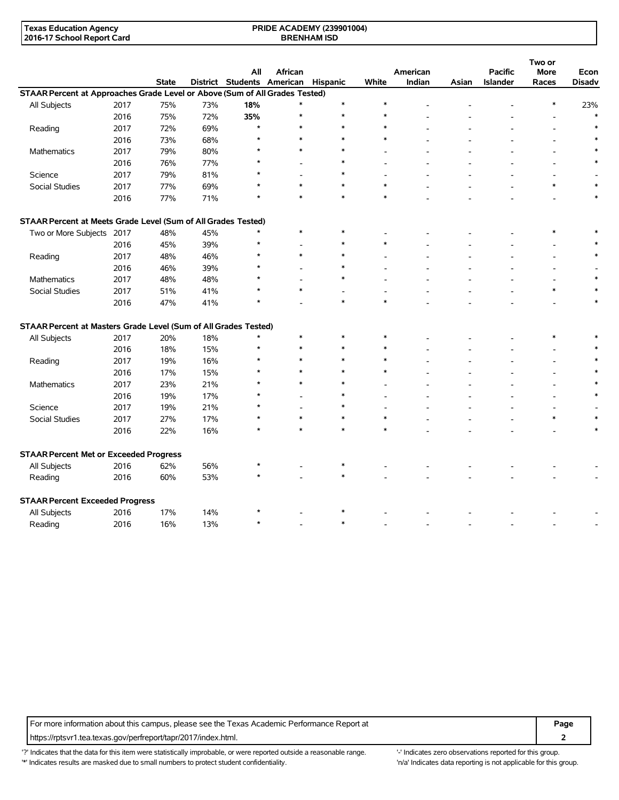| Texas Education Agency     | <b>PRIDE ACADEMY (239901004)</b> |  |
|----------------------------|----------------------------------|--|
| 2016-17 School Report Card | <b>BRENHAM ISD</b>               |  |

|                                                                             |      |              |     |                                     |         |         |        |          |       |                 | Two or      |               |
|-----------------------------------------------------------------------------|------|--------------|-----|-------------------------------------|---------|---------|--------|----------|-------|-----------------|-------------|---------------|
|                                                                             |      |              |     | All                                 | African |         |        | American |       | <b>Pacific</b>  | <b>More</b> | Econ          |
|                                                                             |      | <b>State</b> |     | District Students American Hispanic |         |         | White  | Indian   | Asian | <b>Islander</b> | Races       | <b>Disady</b> |
| STAAR Percent at Approaches Grade Level or Above (Sum of All Grades Tested) |      |              |     |                                     |         |         |        |          |       |                 |             |               |
| All Subjects                                                                | 2017 | 75%          | 73% | 18%                                 |         | $\ast$  | $\ast$ |          |       |                 | $\ast$      | 23%           |
|                                                                             | 2016 | 75%          | 72% | 35%                                 |         | $\ast$  | $\ast$ |          |       |                 |             |               |
| Reading                                                                     | 2017 | 72%          | 69% | $\star$                             |         | $\ast$  | $\ast$ |          |       |                 |             | $\ast$        |
|                                                                             | 2016 | 73%          | 68% | $\star$                             |         | $\ast$  | $\ast$ |          |       |                 |             |               |
| Mathematics                                                                 | 2017 | 79%          | 80% |                                     |         |         |        |          |       |                 |             |               |
|                                                                             | 2016 | 76%          | 77% |                                     |         | $\star$ |        |          |       |                 |             |               |
| Science                                                                     | 2017 | 79%          | 81% |                                     |         | $\ast$  |        |          |       |                 |             |               |
| <b>Social Studies</b>                                                       | 2017 | 77%          | 69% |                                     |         | $\ast$  | $\ast$ |          |       |                 | $\ast$      |               |
|                                                                             | 2016 | 77%          | 71% |                                     |         | $\ast$  | $\ast$ |          |       |                 |             | $\ast$        |
| STAAR Percent at Meets Grade Level (Sum of All Grades Tested)               |      |              |     |                                     |         |         |        |          |       |                 |             |               |
| Two or More Subjects 2017                                                   |      | 48%          | 45% | $\star$                             | $\ast$  | $\ast$  |        |          |       |                 | $\ast$      | $\ast$        |
|                                                                             | 2016 | 45%          | 39% | $\star$                             |         | $\ast$  | $\ast$ |          |       |                 |             |               |
| Reading                                                                     | 2017 | 48%          | 46% | $\star$                             | $\ast$  | $\ast$  |        |          |       |                 |             |               |
|                                                                             | 2016 | 46%          | 39% |                                     |         |         |        |          |       |                 |             |               |
| <b>Mathematics</b>                                                          | 2017 | 48%          | 48% |                                     |         | $\ast$  |        |          |       |                 |             |               |
| <b>Social Studies</b>                                                       | 2017 | 51%          | 41% |                                     | $\ast$  |         |        |          |       |                 | $\ast$      |               |
|                                                                             | 2016 | 47%          | 41% |                                     |         | $\ast$  | $\ast$ |          |       |                 |             | $\ast$        |
| STAAR Percent at Masters Grade Level (Sum of All Grades Tested)             |      |              |     |                                     |         |         |        |          |       |                 |             |               |
| All Subjects                                                                | 2017 | 20%          | 18% | $\star$                             | $\ast$  | $\ast$  | $\ast$ |          |       |                 | $\ast$      |               |
|                                                                             | 2016 | 18%          | 15% |                                     | $\ast$  | $\ast$  | $\ast$ |          |       |                 |             |               |
| Reading                                                                     | 2017 | 19%          | 16% |                                     |         | $\ast$  | $\ast$ |          |       |                 |             |               |
|                                                                             | 2016 | 17%          | 15% |                                     |         | $\ast$  | $\ast$ |          |       |                 |             | $\ast$        |
| Mathematics                                                                 | 2017 | 23%          | 21% |                                     |         | $\ast$  |        |          |       |                 |             |               |
|                                                                             | 2016 | 19%          | 17% |                                     |         | $\ast$  |        |          |       |                 |             |               |
| Science                                                                     | 2017 | 19%          | 21% |                                     |         | $\ast$  | ٠      |          |       |                 |             |               |
| Social Studies                                                              | 2017 | 27%          | 17% |                                     |         | $\ast$  | $\ast$ |          |       |                 | $\ast$      |               |
|                                                                             | 2016 | 22%          | 16% | ÷                                   | $\star$ | $\ast$  | $\ast$ |          |       |                 |             | $\ast$        |
| <b>STAAR Percent Met or Exceeded Progress</b>                               |      |              |     |                                     |         |         |        |          |       |                 |             |               |
| All Subjects                                                                | 2016 | 62%          | 56% |                                     |         | $\ast$  |        |          |       |                 |             |               |
| Reading                                                                     | 2016 | 60%          | 53% |                                     |         |         |        |          |       |                 |             |               |
| <b>STAAR Percent Exceeded Progress</b>                                      |      |              |     |                                     |         |         |        |          |       |                 |             |               |
| All Subjects                                                                | 2016 | 17%          | 14% |                                     |         |         |        |          |       |                 |             |               |
| Reading                                                                     | 2016 | 16%          | 13% | $\star$                             |         | $\ast$  |        |          |       |                 |             |               |

For more information about this campus, please see the Texas Academic Performance Report at **Page Page** https://rptsvr1.tea.texas.gov/perfreport/tapr/2017/index.html. **2**

'?' Indicates that the data for this item were statistically improbable, or were reported outside a reasonable range. "Indicates zero observations reported for this group. \*' Indicates results are masked due to small numbers to protect student confidentiality. Ma' Indicates data reporting is not applicable for this group.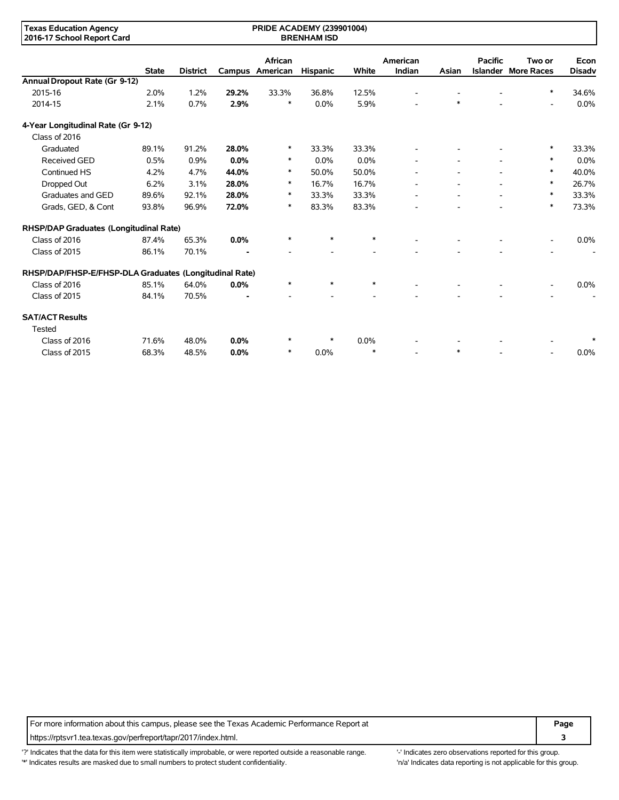| <b>Texas Education Agency</b><br><b>PRIDE ACADEMY (239901004)</b><br>2016-17 School Report Card<br><b>BRENHAM ISD</b> |              |                 |       |                            |                 |        |                    |        |                          |                                      |                       |
|-----------------------------------------------------------------------------------------------------------------------|--------------|-----------------|-------|----------------------------|-----------------|--------|--------------------|--------|--------------------------|--------------------------------------|-----------------------|
|                                                                                                                       | <b>State</b> | <b>District</b> |       | African<br>Campus American | <b>Hispanic</b> | White  | American<br>Indian | Asian  | <b>Pacific</b>           | Two or<br><b>Islander More Races</b> | Econ<br><b>Disadv</b> |
| Annual Dropout Rate (Gr 9-12)                                                                                         |              |                 |       |                            |                 |        |                    |        |                          |                                      |                       |
| 2015-16                                                                                                               | 2.0%         | 1.2%            | 29.2% | 33.3%                      | 36.8%           | 12.5%  |                    |        |                          | $\ast$                               | 34.6%                 |
| 2014-15                                                                                                               | 2.1%         | 0.7%            | 2.9%  | $\ast$                     | 0.0%            | 5.9%   |                    | $\ast$ |                          | $\overline{\phantom{a}}$             | 0.0%                  |
| 4-Year Longitudinal Rate (Gr 9-12)                                                                                    |              |                 |       |                            |                 |        |                    |        |                          |                                      |                       |
| Class of 2016                                                                                                         |              |                 |       |                            |                 |        |                    |        |                          |                                      |                       |
| Graduated                                                                                                             | 89.1%        | 91.2%           | 28.0% | $\ast$                     | 33.3%           | 33.3%  |                    |        |                          | $\ast$                               | 33.3%                 |
| <b>Received GED</b>                                                                                                   | 0.5%         | 0.9%            | 0.0%  | $\ast$                     | 0.0%            | 0.0%   |                    |        |                          | $\ast$                               | 0.0%                  |
| Continued HS                                                                                                          | 4.2%         | 4.7%            | 44.0% | $\ast$                     | 50.0%           | 50.0%  |                    |        |                          | $\ast$                               | 40.0%                 |
| Dropped Out                                                                                                           | 6.2%         | 3.1%            | 28.0% | $\ast$                     | 16.7%           | 16.7%  |                    |        |                          | $\ast$                               | 26.7%                 |
| Graduates and GED                                                                                                     | 89.6%        | 92.1%           | 28.0% | ∗                          | 33.3%           | 33.3%  |                    |        | $\overline{\phantom{a}}$ | $\ast$                               | 33.3%                 |
| Grads, GED, & Cont                                                                                                    | 93.8%        | 96.9%           | 72.0% | $\ast$                     | 83.3%           | 83.3%  |                    |        |                          | $\ast$                               | 73.3%                 |
| RHSP/DAP Graduates (Longitudinal Rate)                                                                                |              |                 |       |                            |                 |        |                    |        |                          |                                      |                       |
| Class of 2016                                                                                                         | 87.4%        | 65.3%           | 0.0%  | $\ast$                     | $\ast$          | $\ast$ |                    |        |                          |                                      | 0.0%                  |
| Class of 2015                                                                                                         | 86.1%        | 70.1%           |       | $\overline{a}$             |                 |        |                    |        |                          |                                      |                       |
| RHSP/DAP/FHSP-E/FHSP-DLA Graduates (Longitudinal Rate)                                                                |              |                 |       |                            |                 |        |                    |        |                          |                                      |                       |
| Class of 2016                                                                                                         | 85.1%        | 64.0%           | 0.0%  | $\ast$                     | $\ast$          | $\ast$ |                    |        |                          |                                      | 0.0%                  |
| Class of 2015                                                                                                         | 84.1%        | 70.5%           |       |                            |                 |        |                    |        |                          |                                      |                       |
| <b>SAT/ACT Results</b><br>Tested                                                                                      |              |                 |       |                            |                 |        |                    |        |                          |                                      |                       |
| Class of 2016                                                                                                         | 71.6%        | 48.0%           | 0.0%  | *                          | $\ast$          | 0.0%   |                    |        |                          |                                      |                       |
| Class of 2015                                                                                                         | 68.3%        | 48.5%           | 0.0%  | $\ast$                     | 0.0%            | $\ast$ |                    | $\ast$ |                          |                                      | 0.0%                  |

For more information about this campus, please see the Texas Academic Performance Report at **Page Page** https://rptsvr1.tea.texas.gov/perfreport/tapr/2017/index.html. **3**

'?' Indicates that the data for this item were statistically improbable, or were reported outside a reasonable range. '' Indicates zero observations reported for this group. '\*' Indicates results are masked due to small numbers to protect student confidentiality. 'n/a' Indicates data reporting is not applicable for this group.